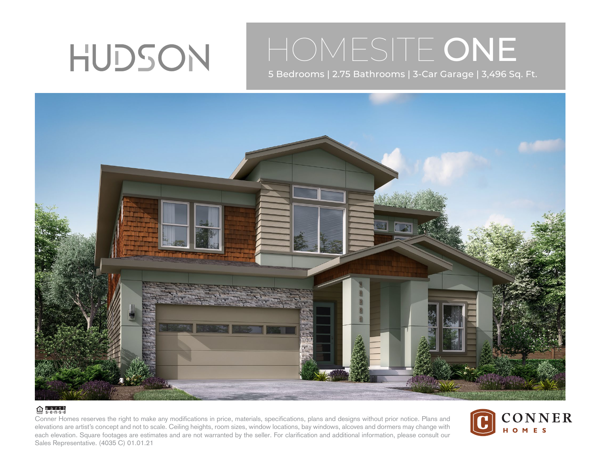

## HOMESITE ONE

5 Bedrooms | 2.75 Bathrooms | 3-Car Garage | 3,496 Sq. Ft.



## $\bigoplus$  e.a.r.t.h

Conner Homes reserves the right to make any modifications in price, materials, specifications, plans and designs without prior notice. Plans and elevations are artist's concept and not to scale. Ceiling heights, room sizes, window locations, bay windows, alcoves and dormers may change with each elevation. Square footages are estimates and are not warranted by the seller. For clarification and additional information, please consult our Sales Representative. (4035 C) 01.01.21